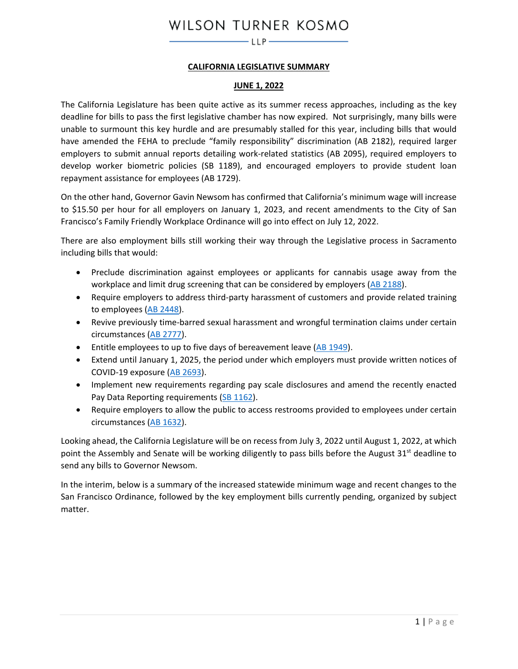## **CALIFORNIA LEGISLATIVE SUMMARY**

#### **JUNE 1, 2022**

The California Legislature has been quite active as its summer recess approaches, including as the key deadline for bills to pass the first legislative chamber has now expired. Not surprisingly, many bills were unable to surmount this key hurdle and are presumably stalled for this year, including bills that would have amended the FEHA to preclude "family responsibility" discrimination (AB 2182), required larger employers to submit annual reports detailing work-related statistics (AB 2095), required employers to develop worker biometric policies (SB 1189), and encouraged employers to provide student loan repayment assistance for employees (AB 1729).

On the other hand, Governor Gavin Newsom has confirmed that California's minimum wage will increase to \$15.50 per hour for all employers on January 1, 2023, and recent amendments to the City of San Francisco's Family Friendly Workplace Ordinance will go into effect on July 12, 2022.

There are also employment bills still working their way through the Legislative process in Sacramento including bills that would:

- Preclude discrimination against employees or applicants for cannabis usage away from the workplace and limit drug screening that can be considered by employers [\(AB 2188\)](#page-2-0).
- Require employers to address third-party harassment of customers and provide related training to employees [\(AB 2448\)](#page-4-0).
- Revive previously time-barred sexual harassment and wrongful termination claims under certain circumstances [\(AB 2777\)](#page-3-0).
- Entitle employees to up to five days of bereavement leave [\(AB 1949\)](#page-10-0).
- Extend until January 1, 2025, the period under which employers must provide written notices of COVID-19 exposure [\(AB 2693\)](#page-9-0).
- Implement new requirements regarding pay scale disclosures and amend the recently enacted Pay Data Reporting requirements [\(SB 1162\)](#page-6-0).
- Require employers to allow the public to access restrooms provided to employees under certain circumstances [\(AB 1632\)](#page-16-0).

Looking ahead, the California Legislature will be on recess from July 3, 2022 until August 1, 2022, at which point the Assembly and Senate will be working diligently to pass bills before the August  $31<sup>st</sup>$  deadline to send any bills to Governor Newsom.

In the interim, below is a summary of the increased statewide minimum wage and recent changes to the San Francisco Ordinance, followed by the key employment bills currently pending, organized by subject matter.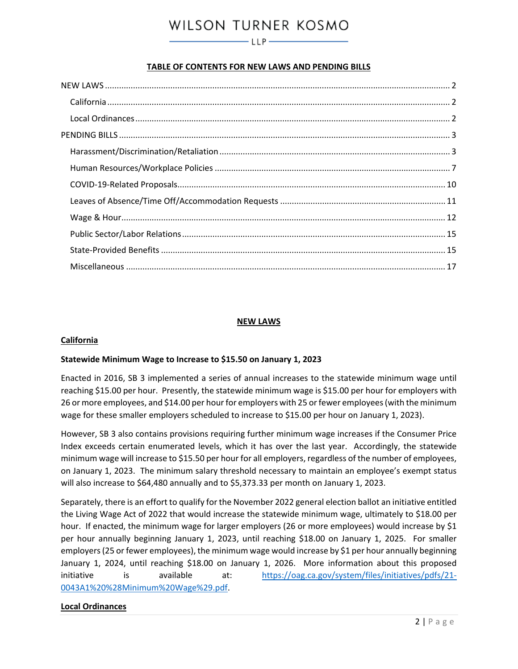# **TABLE OF CONTENTS FOR NEW LAWS AND PENDING BILLS**

#### **NEW LAWS**

#### <span id="page-1-1"></span><span id="page-1-0"></span>**California**

#### **Statewide Minimum Wage to Increase to \$15.50 on January 1, 2023**

Enacted in 2016, SB 3 implemented a series of annual increases to the statewide minimum wage until reaching \$15.00 per hour. Presently, the statewide minimum wage is \$15.00 per hour for employers with 26 or more employees, and \$14.00 per hour for employers with 25 or fewer employees (with the minimum wage for these smaller employers scheduled to increase to \$15.00 per hour on January 1, 2023).

However, SB 3 also contains provisions requiring further minimum wage increases if the Consumer Price Index exceeds certain enumerated levels, which it has over the last year. Accordingly, the statewide minimum wage will increase to \$15.50 per hour for all employers, regardless of the number of employees, on January 1, 2023. The minimum salary threshold necessary to maintain an employee's exempt status will also increase to \$64,480 annually and to \$5,373.33 per month on January 1, 2023.

Separately, there is an effort to qualify for the November 2022 general election ballot an initiative entitled the Living Wage Act of 2022 that would increase the statewide minimum wage, ultimately to \$18.00 per hour. If enacted, the minimum wage for larger employers (26 or more employees) would increase by \$1 per hour annually beginning January 1, 2023, until reaching \$18.00 on January 1, 2025. For smaller employers (25 or fewer employees), the minimum wage would increase by \$1 per hour annually beginning January 1, 2024, until reaching \$18.00 on January 1, 2026. More information about this proposed initiative is available at: [https://oag.ca.gov/system/files/initiatives/pdfs/21-](https://oag.ca.gov/system/files/initiatives/pdfs/21-0043A1%20%28Minimum%20Wage%29.pdf) [0043A1%20%28Minimum%20Wage%29.pdf.](https://oag.ca.gov/system/files/initiatives/pdfs/21-0043A1%20%28Minimum%20Wage%29.pdf)

#### <span id="page-1-2"></span>**Local Ordinances**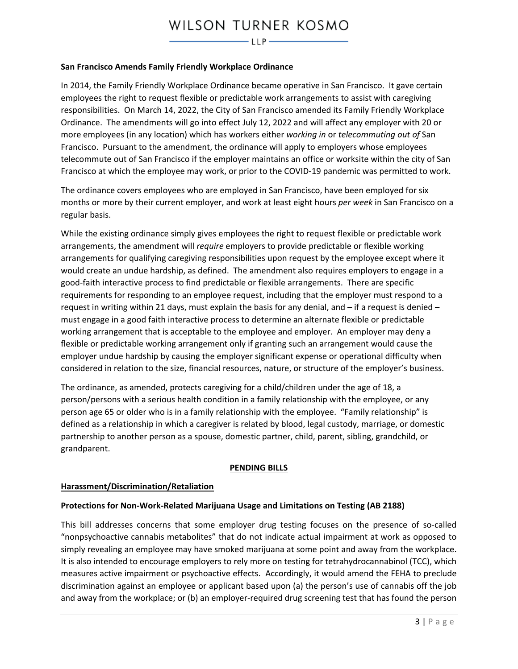#### **San Francisco Amends Family Friendly Workplace Ordinance**

In 2014, the Family Friendly Workplace Ordinance became operative in San Francisco. It gave certain employees the right to request flexible or predictable work arrangements to assist with caregiving responsibilities. On March 14, 2022, the City of San Francisco amended its Family Friendly Workplace Ordinance. The amendments will go into effect July 12, 2022 and will affect any employer with 20 or more employees (in any location) which has workers either *working in* or *telecommuting out of* San Francisco. Pursuant to the amendment, the ordinance will apply to employers whose employees telecommute out of San Francisco if the employer maintains an office or worksite within the city of San Francisco at which the employee may work, or prior to the COVID-19 pandemic was permitted to work.

The ordinance covers employees who are employed in San Francisco, have been employed for six months or more by their current employer, and work at least eight hours *per week* in San Francisco on a regular basis.

While the existing ordinance simply gives employees the right to request flexible or predictable work arrangements, the amendment will *require* employers to provide predictable or flexible working arrangements for qualifying caregiving responsibilities upon request by the employee except where it would create an undue hardship, as defined. The amendment also requires employers to engage in a good-faith interactive process to find predictable or flexible arrangements. There are specific requirements for responding to an employee request, including that the employer must respond to a request in writing within 21 days, must explain the basis for any denial, and – if a request is denied – must engage in a good faith interactive process to determine an alternate flexible or predictable working arrangement that is acceptable to the employee and employer. An employer may deny a flexible or predictable working arrangement only if granting such an arrangement would cause the employer undue hardship by causing the employer significant expense or operational difficulty when considered in relation to the size, financial resources, nature, or structure of the employer's business.

The ordinance, as amended, protects caregiving for a child/children under the age of 18, a person/persons with a serious health condition in a family relationship with the employee, or any person age 65 or older who is in a family relationship with the employee. "Family relationship" is defined as a relationship in which a caregiver is related by blood, legal custody, marriage, or domestic partnership to another person as a spouse, domestic partner, child, parent, sibling, grandchild, or grandparent.

#### <span id="page-2-0"></span>**PENDING BILLS**

#### <span id="page-2-2"></span><span id="page-2-1"></span>**Harassment/Discrimination/Retaliation**

#### **Protections for Non-Work-Related Marijuana Usage and Limitations on Testing (AB 2188)**

This bill addresses concerns that some employer drug testing focuses on the presence of so-called "nonpsychoactive cannabis metabolites" that do not indicate actual impairment at work as opposed to simply revealing an employee may have smoked marijuana at some point and away from the workplace. It is also intended to encourage employers to rely more on testing for tetrahydrocannabinol (TCC), which measures active impairment or psychoactive effects. Accordingly, it would amend the FEHA to preclude discrimination against an employee or applicant based upon (a) the person's use of cannabis off the job and away from the workplace; or (b) an employer-required drug screening test that has found the person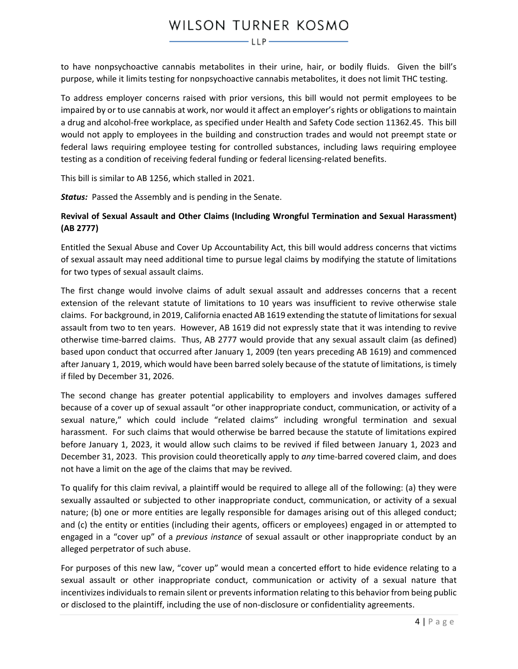to have nonpsychoactive cannabis metabolites in their urine, hair, or bodily fluids. Given the bill's purpose, while it limits testing for nonpsychoactive cannabis metabolites, it does not limit THC testing.

To address employer concerns raised with prior versions, this bill would not permit employees to be impaired by or to use cannabis at work, nor would it affect an employer's rights or obligations to maintain a drug and alcohol-free workplace, as specified under Health and Safety Code section 11362.45. This bill would not apply to employees in the building and construction trades and would not preempt state or federal laws requiring employee testing for controlled substances, including laws requiring employee testing as a condition of receiving federal funding or federal licensing-related benefits.

This bill is similar to AB 1256, which stalled in 2021.

*Status:* Passed the Assembly and is pending in the Senate.

# <span id="page-3-0"></span>**Revival of Sexual Assault and Other Claims (Including Wrongful Termination and Sexual Harassment) (AB 2777)**

Entitled the Sexual Abuse and Cover Up Accountability Act, this bill would address concerns that victims of sexual assault may need additional time to pursue legal claims by modifying the statute of limitations for two types of sexual assault claims.

The first change would involve claims of adult sexual assault and addresses concerns that a recent extension of the relevant statute of limitations to 10 years was insufficient to revive otherwise stale claims. For background, in 2019, California enacted AB 1619 extending the statute of limitations for sexual assault from two to ten years. However, AB 1619 did not expressly state that it was intending to revive otherwise time-barred claims. Thus, AB 2777 would provide that any sexual assault claim (as defined) based upon conduct that occurred after January 1, 2009 (ten years preceding AB 1619) and commenced after January 1, 2019, which would have been barred solely because of the statute of limitations, is timely if filed by December 31, 2026.

The second change has greater potential applicability to employers and involves damages suffered because of a cover up of sexual assault "or other inappropriate conduct, communication, or activity of a sexual nature," which could include "related claims" including wrongful termination and sexual harassment. For such claims that would otherwise be barred because the statute of limitations expired before January 1, 2023, it would allow such claims to be revived if filed between January 1, 2023 and December 31, 2023. This provision could theoretically apply to *any* time-barred covered claim, and does not have a limit on the age of the claims that may be revived.

To qualify for this claim revival, a plaintiff would be required to allege all of the following: (a) they were sexually assaulted or subjected to other inappropriate conduct, communication, or activity of a sexual nature; (b) one or more entities are legally responsible for damages arising out of this alleged conduct; and (c) the entity or entities (including their agents, officers or employees) engaged in or attempted to engaged in a "cover up" of a *previous instance* of sexual assault or other inappropriate conduct by an alleged perpetrator of such abuse.

For purposes of this new law, "cover up" would mean a concerted effort to hide evidence relating to a sexual assault or other inappropriate conduct, communication or activity of a sexual nature that incentivizes individuals to remain silent or prevents information relating to this behavior from being public or disclosed to the plaintiff, including the use of non-disclosure or confidentiality agreements.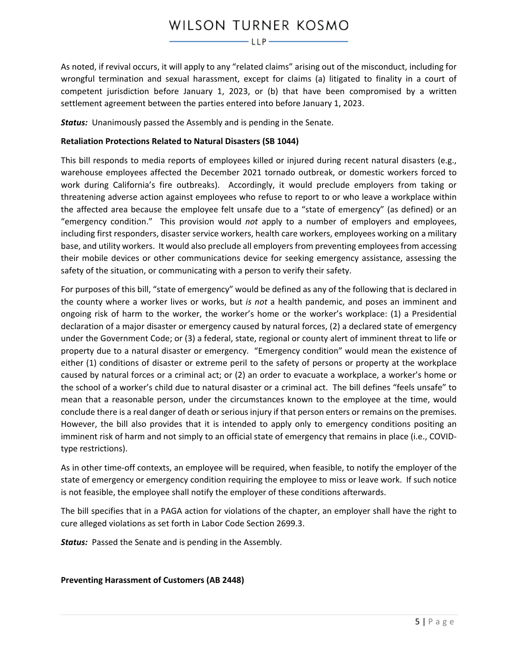As noted, if revival occurs, it will apply to any "related claims" arising out of the misconduct, including for wrongful termination and sexual harassment, except for claims (a) litigated to finality in a court of competent jurisdiction before January 1, 2023, or (b) that have been compromised by a written settlement agreement between the parties entered into before January 1, 2023.

*Status:* Unanimously passed the Assembly and is pending in the Senate.

# **Retaliation Protections Related to Natural Disasters (SB 1044)**

This bill responds to media reports of employees killed or injured during recent natural disasters (e.g., warehouse employees affected the December 2021 tornado outbreak, or domestic workers forced to work during California's fire outbreaks). Accordingly, it would preclude employers from taking or threatening adverse action against employees who refuse to report to or who leave a workplace within the affected area because the employee felt unsafe due to a "state of emergency" (as defined) or an "emergency condition." This provision would *not* apply to a number of employers and employees, including first responders, disaster service workers, health care workers, employees working on a military base, and utility workers. It would also preclude all employers from preventing employees from accessing their mobile devices or other communications device for seeking emergency assistance, assessing the safety of the situation, or communicating with a person to verify their safety.

For purposes of this bill, "state of emergency" would be defined as any of the following that is declared in the county where a worker lives or works, but *is not* a health pandemic, and poses an imminent and ongoing risk of harm to the worker, the worker's home or the worker's workplace: (1) a Presidential declaration of a major disaster or emergency caused by natural forces, (2) a declared state of emergency under the Government Code; or (3) a federal, state, regional or county alert of imminent threat to life or property due to a natural disaster or emergency. "Emergency condition" would mean the existence of either (1) conditions of disaster or extreme peril to the safety of persons or property at the workplace caused by natural forces or a criminal act; or (2) an order to evacuate a workplace, a worker's home or the school of a worker's child due to natural disaster or a criminal act. The bill defines "feels unsafe" to mean that a reasonable person, under the circumstances known to the employee at the time, would conclude there is a real danger of death or serious injury if that person enters or remains on the premises. However, the bill also provides that it is intended to apply only to emergency conditions positing an imminent risk of harm and not simply to an official state of emergency that remains in place (i.e., COVIDtype restrictions).

As in other time-off contexts, an employee will be required, when feasible, to notify the employer of the state of emergency or emergency condition requiring the employee to miss or leave work. If such notice is not feasible, the employee shall notify the employer of these conditions afterwards.

The bill specifies that in a PAGA action for violations of the chapter, an employer shall have the right to cure alleged violations as set forth in Labor Code Section 2699.3.

*Status:* Passed the Senate and is pending in the Assembly.

# <span id="page-4-0"></span>**Preventing Harassment of Customers (AB 2448)**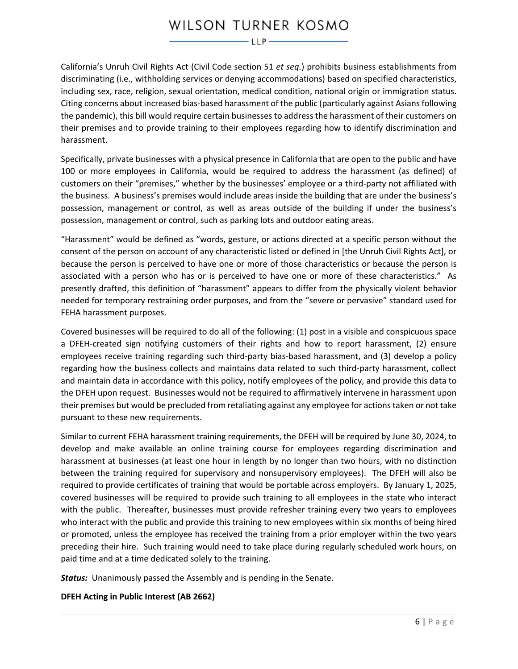California's Unruh Civil Rights Act (Civil Code section 51 *et seq.*) prohibits business establishments from discriminating (i.e., withholding services or denying accommodations) based on specified characteristics, including sex, race, religion, sexual orientation, medical condition, national origin or immigration status. Citing concerns about increased bias-based harassment of the public (particularly against Asians following the pandemic), this bill would require certain businesses to address the harassment of their customers on their premises and to provide training to their employees regarding how to identify discrimination and harassment.

Specifically, private businesses with a physical presence in California that are open to the public and have 100 or more employees in California, would be required to address the harassment (as defined) of customers on their "premises," whether by the businesses' employee or a third-party not affiliated with the business. A business's premises would include areas inside the building that are under the business's possession, management or control, as well as areas outside of the building if under the business's possession, management or control, such as parking lots and outdoor eating areas.

"Harassment" would be defined as "words, gesture, or actions directed at a specific person without the consent of the person on account of any characteristic listed or defined in [the Unruh Civil Rights Act], or because the person is perceived to have one or more of those characteristics or because the person is associated with a person who has or is perceived to have one or more of these characteristics." As presently drafted, this definition of "harassment" appears to differ from the physically violent behavior needed for temporary restraining order purposes, and from the "severe or pervasive" standard used for FEHA harassment purposes.

Covered businesses will be required to do all of the following: (1) post in a visible and conspicuous space a DFEH-created sign notifying customers of their rights and how to report harassment, (2) ensure employees receive training regarding such third-party bias-based harassment, and (3) develop a policy regarding how the business collects and maintains data related to such third-party harassment, collect and maintain data in accordance with this policy, notify employees of the policy, and provide this data to the DFEH upon request. Businesses would not be required to affirmatively intervene in harassment upon their premises but would be precluded from retaliating against any employee for actions taken or not take pursuant to these new requirements.

Similar to current FEHA harassment training requirements, the DFEH will be required by June 30, 2024, to develop and make available an online training course for employees regarding discrimination and harassment at businesses (at least one hour in length by no longer than two hours, with no distinction between the training required for supervisory and nonsupervisory employees). The DFEH will also be required to provide certificates of training that would be portable across employers. By January 1, 2025, covered businesses will be required to provide such training to all employees in the state who interact with the public. Thereafter, businesses must provide refresher training every two years to employees who interact with the public and provide this training to new employees within six months of being hired or promoted, unless the employee has received the training from a prior employer within the two years preceding their hire. Such training would need to take place during regularly scheduled work hours, on paid time and at a time dedicated solely to the training.

*Status:* Unanimously passed the Assembly and is pending in the Senate.

# **DFEH Acting in Public Interest (AB 2662)**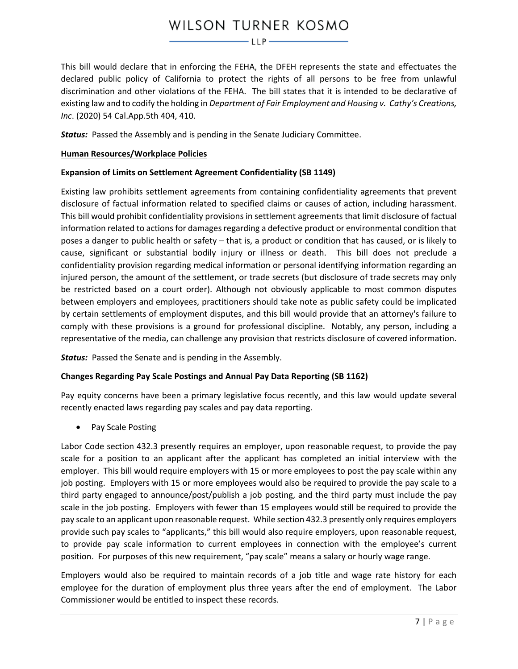This bill would declare that in enforcing the FEHA, the DFEH represents the state and effectuates the declared public policy of California to protect the rights of all persons to be free from unlawful discrimination and other violations of the FEHA. The bill states that it is intended to be declarative of existing law and to codify the holding in *Department of Fair Employment and Housing v. Cathy's Creations, Inc*. (2020) 54 Cal.App.5th 404, 410.

**Status:** Passed the Assembly and is pending in the Senate Judiciary Committee.

## <span id="page-6-1"></span>**Human Resources/Workplace Policies**

## **Expansion of Limits on Settlement Agreement Confidentiality (SB 1149)**

Existing law prohibits settlement agreements from containing confidentiality agreements that prevent disclosure of factual information related to specified claims or causes of action, including harassment. This bill would prohibit confidentiality provisions in settlement agreements that limit disclosure of factual information related to actions for damages regarding a defective product or environmental condition that poses a danger to public health or safety – that is, a product or condition that has caused, or is likely to cause, significant or substantial bodily injury or illness or death. This bill does not preclude a confidentiality provision regarding medical information or personal identifying information regarding an injured person, the amount of the settlement, or trade secrets (but disclosure of trade secrets may only be restricted based on a court order). Although not obviously applicable to most common disputes between employers and employees, practitioners should take note as public safety could be implicated by certain settlements of employment disputes, and this bill would provide that an attorney's failure to comply with these provisions is a ground for professional discipline. Notably, any person, including a representative of the media, can challenge any provision that restricts disclosure of covered information.

*Status:* Passed the Senate and is pending in the Assembly.

# **Changes Regarding Pay Scale Postings and Annual Pay Data Reporting (SB 1162)**

Pay equity concerns have been a primary legislative focus recently, and this law would update several recently enacted laws regarding pay scales and pay data reporting.

<span id="page-6-0"></span>• Pay Scale Posting

Labor Code section 432.3 presently requires an employer, upon reasonable request, to provide the pay scale for a position to an applicant after the applicant has completed an initial interview with the employer. This bill would require employers with 15 or more employees to post the pay scale within any job posting. Employers with 15 or more employees would also be required to provide the pay scale to a third party engaged to announce/post/publish a job posting, and the third party must include the pay scale in the job posting. Employers with fewer than 15 employees would still be required to provide the pay scale to an applicant upon reasonable request. While section 432.3 presently only requires employers provide such pay scales to "applicants," this bill would also require employers, upon reasonable request, to provide pay scale information to current employees in connection with the employee's current position. For purposes of this new requirement, "pay scale" means a salary or hourly wage range.

Employers would also be required to maintain records of a job title and wage rate history for each employee for the duration of employment plus three years after the end of employment. The Labor Commissioner would be entitled to inspect these records.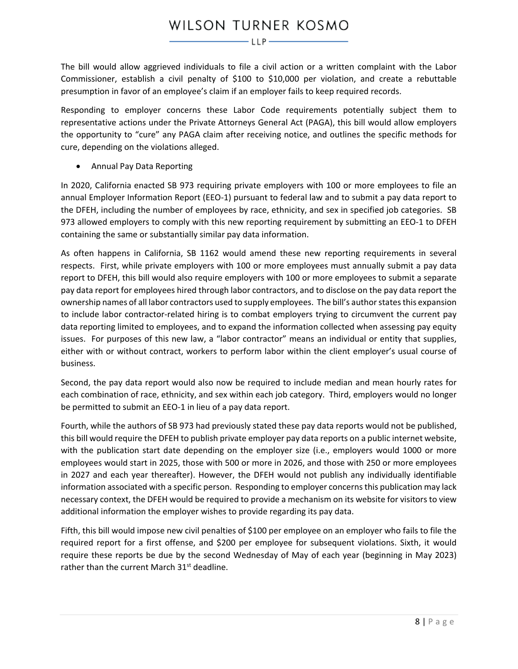The bill would allow aggrieved individuals to file a civil action or a written complaint with the Labor Commissioner, establish a civil penalty of \$100 to \$10,000 per violation, and create a rebuttable presumption in favor of an employee's claim if an employer fails to keep required records.

Responding to employer concerns these Labor Code requirements potentially subject them to representative actions under the Private Attorneys General Act (PAGA), this bill would allow employers the opportunity to "cure" any PAGA claim after receiving notice, and outlines the specific methods for cure, depending on the violations alleged.

• Annual Pay Data Reporting

In 2020, California enacted SB 973 requiring private employers with 100 or more employees to file an annual Employer Information Report (EEO-1) pursuant to federal law and to submit a pay data report to the DFEH, including the number of employees by race, ethnicity, and sex in specified job categories. SB 973 allowed employers to comply with this new reporting requirement by submitting an EEO-1 to DFEH containing the same or substantially similar pay data information.

As often happens in California, SB 1162 would amend these new reporting requirements in several respects. First, while private employers with 100 or more employees must annually submit a pay data report to DFEH, this bill would also require employers with 100 or more employees to submit a separate pay data report for employees hired through labor contractors, and to disclose on the pay data report the ownership names of all labor contractors used to supply employees. The bill's author states this expansion to include labor contractor-related hiring is to combat employers trying to circumvent the current pay data reporting limited to employees, and to expand the information collected when assessing pay equity issues. For purposes of this new law, a "labor contractor" means an individual or entity that supplies, either with or without contract, workers to perform labor within the client employer's usual course of business.

Second, the pay data report would also now be required to include median and mean hourly rates for each combination of race, ethnicity, and sex within each job category. Third, employers would no longer be permitted to submit an EEO-1 in lieu of a pay data report.

Fourth, while the authors of SB 973 had previously stated these pay data reports would not be published, this bill would require the DFEH to publish private employer pay data reports on a public internet website, with the publication start date depending on the employer size (i.e., employers would 1000 or more employees would start in 2025, those with 500 or more in 2026, and those with 250 or more employees in 2027 and each year thereafter). However, the DFEH would not publish any individually identifiable information associated with a specific person. Responding to employer concerns this publication may lack necessary context, the DFEH would be required to provide a mechanism on its website for visitors to view additional information the employer wishes to provide regarding its pay data.

Fifth, this bill would impose new civil penalties of \$100 per employee on an employer who fails to file the required report for a first offense, and \$200 per employee for subsequent violations. Sixth, it would require these reports be due by the second Wednesday of May of each year (beginning in May 2023) rather than the current March 31<sup>st</sup> deadline.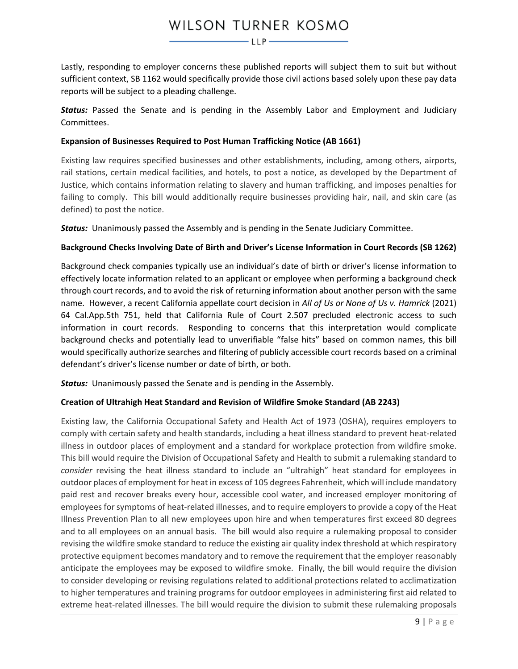Lastly, responding to employer concerns these published reports will subject them to suit but without sufficient context, SB 1162 would specifically provide those civil actions based solely upon these pay data reports will be subject to a pleading challenge.

*Status:* Passed the Senate and is pending in the Assembly Labor and Employment and Judiciary Committees.

## **Expansion of Businesses Required to Post Human Trafficking Notice (AB 1661)**

Existing law requires specified businesses and other establishments, including, among others, airports, rail stations, certain medical facilities, and hotels, to post a notice, as developed by the Department of Justice, which contains information relating to slavery and human trafficking, and imposes penalties for failing to comply. This bill would additionally require businesses providing hair, nail, and skin care (as defined) to post the notice.

*Status:* Unanimously passed the Assembly and is pending in the Senate Judiciary Committee.

## **Background Checks Involving Date of Birth and Driver's License Information in Court Records (SB 1262)**

Background check companies typically use an individual's date of birth or driver's license information to effectively locate information related to an applicant or employee when performing a background check through court records, and to avoid the risk of returning information about another person with the same name. However, a recent California appellate court decision in *All of Us or None of Us v. Hamrick* (2021) 64 Cal.App.5th 751, held that California Rule of Court 2.507 precluded electronic access to such information in court records. Responding to concerns that this interpretation would complicate background checks and potentially lead to unverifiable "false hits" based on common names, this bill would specifically authorize searches and filtering of publicly accessible court records based on a criminal defendant's driver's license number or date of birth, or both.

*Status:* Unanimously passed the Senate and is pending in the Assembly.

# **Creation of Ultrahigh Heat Standard and Revision of Wildfire Smoke Standard (AB 2243)**

Existing law, the California Occupational Safety and Health Act of 1973 (OSHA), requires employers to comply with certain safety and health standards, including a heat illness standard to prevent heat-related illness in outdoor places of employment and a standard for workplace protection from wildfire smoke. This bill would require the Division of Occupational Safety and Health to submit a rulemaking standard to *consider* revising the heat illness standard to include an "ultrahigh" heat standard for employees in outdoor places of employment for heat in excess of 105 degrees Fahrenheit, which will include mandatory paid rest and recover breaks every hour, accessible cool water, and increased employer monitoring of employees for symptoms of heat-related illnesses, and to require employers to provide a copy of the Heat Illness Prevention Plan to all new employees upon hire and when temperatures first exceed 80 degrees and to all employees on an annual basis. The bill would also require a rulemaking proposal to consider revising the wildfire smoke standard to reduce the existing air quality index threshold at which respiratory protective equipment becomes mandatory and to remove the requirement that the employer reasonably anticipate the employees may be exposed to wildfire smoke. Finally, the bill would require the division to consider developing or revising regulations related to additional protections related to acclimatization to higher temperatures and training programs for outdoor employees in administering first aid related to extreme heat-related illnesses. The bill would require the division to submit these rulemaking proposals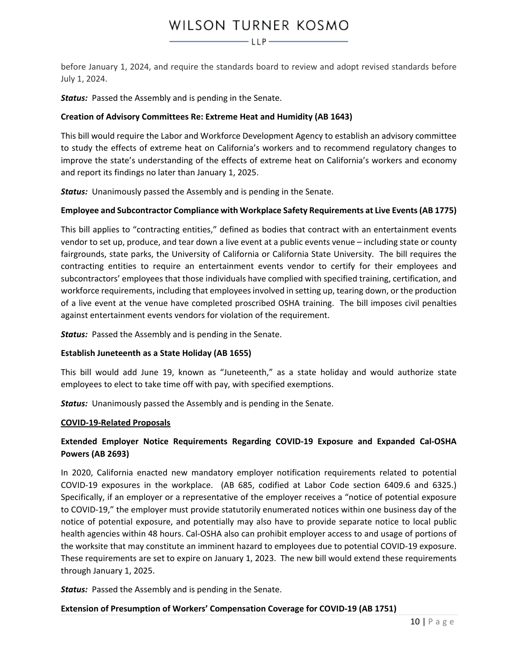$-\mathsf{LLP}-$ 

before January 1, 2024, and require the standards board to review and adopt revised standards before July 1, 2024.

*Status:* Passed the Assembly and is pending in the Senate.

# **Creation of Advisory Committees Re: Extreme Heat and Humidity (AB 1643)**

This bill would require the Labor and Workforce Development Agency to establish an advisory committee to study the effects of extreme heat on California's workers and to recommend regulatory changes to improve the state's understanding of the effects of extreme heat on California's workers and economy and report its findings no later than January 1, 2025.

*Status:* Unanimously passed the Assembly and is pending in the Senate.

## **Employee and Subcontractor Compliance with Workplace Safety Requirements at Live Events (AB 1775)**

This bill applies to "contracting entities," defined as bodies that contract with an entertainment events vendor to set up, produce, and tear down a live event at a public events venue – including state or county fairgrounds, state parks, the University of California or California State University. The bill requires the contracting entities to require an entertainment events vendor to certify for their employees and subcontractors' employees that those individuals have complied with specified training, certification, and workforce requirements, including that employees involved in setting up, tearing down, or the production of a live event at the venue have completed proscribed OSHA training. The bill imposes civil penalties against entertainment events vendors for violation of the requirement.

*Status:* Passed the Assembly and is pending in the Senate.

#### **Establish Juneteenth as a State Holiday (AB 1655)**

This bill would add June 19, known as "Juneteenth," as a state holiday and would authorize state employees to elect to take time off with pay, with specified exemptions.

*Status:* Unanimously passed the Assembly and is pending in the Senate.

#### <span id="page-9-1"></span>**COVID-19-Related Proposals**

# <span id="page-9-0"></span>**Extended Employer Notice Requirements Regarding COVID-19 Exposure and Expanded Cal-OSHA Powers (AB 2693)**

In 2020, California enacted new mandatory employer notification requirements related to potential COVID-19 exposures in the workplace. (AB 685, codified at Labor Code section 6409.6 and 6325.) Specifically, if an employer or a representative of the employer receives a "notice of potential exposure to COVID-19," the employer must provide statutorily enumerated notices within one business day of the notice of potential exposure, and potentially may also have to provide separate notice to local public health agencies within 48 hours. Cal-OSHA also can prohibit employer access to and usage of portions of the worksite that may constitute an imminent hazard to employees due to potential COVID-19 exposure. These requirements are set to expire on January 1, 2023. The new bill would extend these requirements through January 1, 2025.

*Status:* Passed the Assembly and is pending in the Senate.

#### **Extension of Presumption of Workers' Compensation Coverage for COVID-19 (AB 1751)**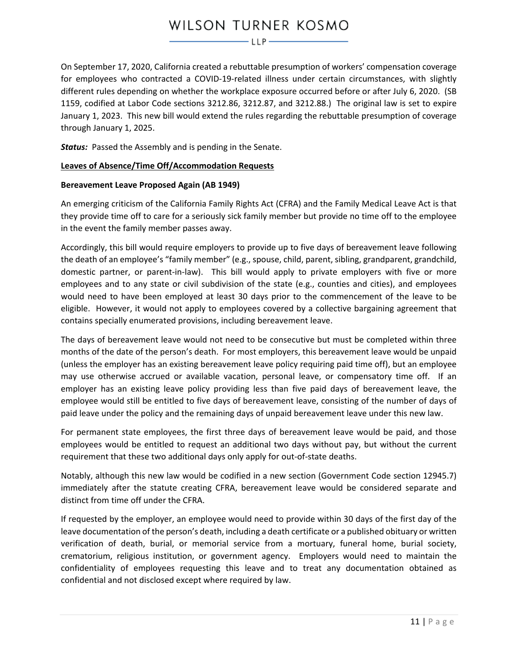# WILSON TURNER KOSMO  $-\mathsf{LLP}-$

On September 17, 2020, California created a rebuttable presumption of workers' compensation coverage for employees who contracted a COVID-19-related illness under certain circumstances, with slightly different rules depending on whether the workplace exposure occurred before or after July 6, 2020. (SB 1159, codified at Labor Code sections 3212.86, 3212.87, and 3212.88.) The original law is set to expire January 1, 2023. This new bill would extend the rules regarding the rebuttable presumption of coverage through January 1, 2025.

*Status:* Passed the Assembly and is pending in the Senate.

## <span id="page-10-1"></span>**Leaves of Absence/Time Off/Accommodation Requests**

#### <span id="page-10-0"></span>**Bereavement Leave Proposed Again (AB 1949)**

An emerging criticism of the California Family Rights Act (CFRA) and the Family Medical Leave Act is that they provide time off to care for a seriously sick family member but provide no time off to the employee in the event the family member passes away.

Accordingly, this bill would require employers to provide up to five days of bereavement leave following the death of an employee's "family member" (e.g., spouse, child, parent, sibling, grandparent, grandchild, domestic partner, or parent-in-law). This bill would apply to private employers with five or more employees and to any state or civil subdivision of the state (e.g., counties and cities), and employees would need to have been employed at least 30 days prior to the commencement of the leave to be eligible. However, it would not apply to employees covered by a collective bargaining agreement that contains specially enumerated provisions, including bereavement leave.

The days of bereavement leave would not need to be consecutive but must be completed within three months of the date of the person's death. For most employers, this bereavement leave would be unpaid (unless the employer has an existing bereavement leave policy requiring paid time off), but an employee may use otherwise accrued or available vacation, personal leave, or compensatory time off. If an employer has an existing leave policy providing less than five paid days of bereavement leave, the employee would still be entitled to five days of bereavement leave, consisting of the number of days of paid leave under the policy and the remaining days of unpaid bereavement leave under this new law.

For permanent state employees, the first three days of bereavement leave would be paid, and those employees would be entitled to request an additional two days without pay, but without the current requirement that these two additional days only apply for out-of-state deaths.

Notably, although this new law would be codified in a new section (Government Code section 12945.7) immediately after the statute creating CFRA, bereavement leave would be considered separate and distinct from time off under the CFRA.

If requested by the employer, an employee would need to provide within 30 days of the first day of the leave documentation of the person's death, including a death certificate or a published obituary or written verification of death, burial, or memorial service from a mortuary, funeral home, burial society, crematorium, religious institution, or government agency. Employers would need to maintain the confidentiality of employees requesting this leave and to treat any documentation obtained as confidential and not disclosed except where required by law.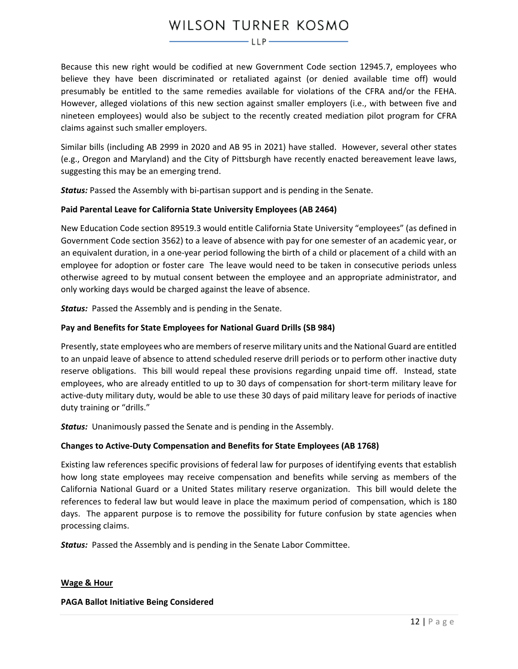$-LLP$ 

Because this new right would be codified at new Government Code section 12945.7, employees who believe they have been discriminated or retaliated against (or denied available time off) would presumably be entitled to the same remedies available for violations of the CFRA and/or the FEHA. However, alleged violations of this new section against smaller employers (i.e., with between five and nineteen employees) would also be subject to the recently created mediation pilot program for CFRA claims against such smaller employers.

Similar bills (including AB 2999 in 2020 and AB 95 in 2021) have stalled. However, several other states (e.g., Oregon and Maryland) and the City of Pittsburgh have recently enacted bereavement leave laws, suggesting this may be an emerging trend.

*Status:* Passed the Assembly with bi-partisan support and is pending in the Senate.

## **Paid Parental Leave for California State University Employees (AB 2464)**

New Education Code section 89519.3 would entitle California State University "employees" (as defined in Government Code section 3562) to a leave of absence with pay for one semester of an academic year, or an equivalent duration, in a one-year period following the birth of a child or placement of a child with an employee for adoption or foster care The leave would need to be taken in consecutive periods unless otherwise agreed to by mutual consent between the employee and an appropriate administrator, and only working days would be charged against the leave of absence.

*Status:* Passed the Assembly and is pending in the Senate.

## **Pay and Benefits for State Employees for National Guard Drills (SB 984)**

Presently, state employees who are members of reserve military units and the National Guard are entitled to an unpaid leave of absence to attend scheduled reserve drill periods or to perform other inactive duty reserve obligations. This bill would repeal these provisions regarding unpaid time off. Instead, state employees, who are already entitled to up to 30 days of compensation for short-term military leave for active-duty military duty, would be able to use these 30 days of paid military leave for periods of inactive duty training or "drills."

*Status:* Unanimously passed the Senate and is pending in the Assembly.

# **Changes to Active-Duty Compensation and Benefits for State Employees (AB 1768)**

Existing law references specific provisions of federal law for purposes of identifying events that establish how long state employees may receive compensation and benefits while serving as members of the California National Guard or a United States military reserve organization. This bill would delete the references to federal law but would leave in place the maximum period of compensation, which is 180 days. The apparent purpose is to remove the possibility for future confusion by state agencies when processing claims.

**Status:** Passed the Assembly and is pending in the Senate Labor Committee.

#### <span id="page-11-0"></span>**Wage & Hour**

#### **PAGA Ballot Initiative Being Considered**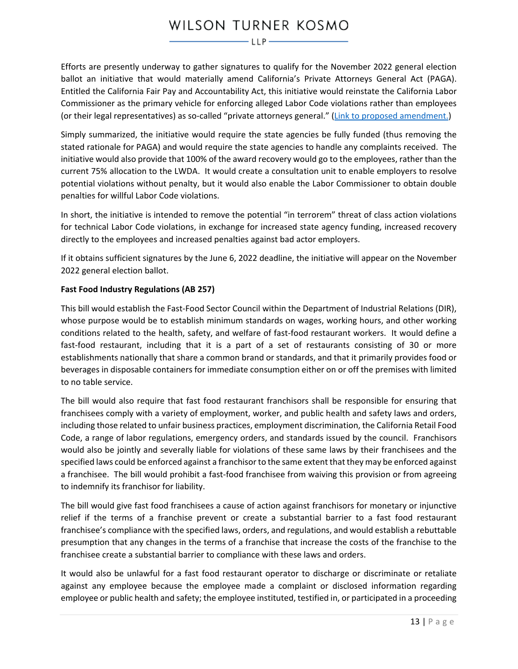# WILSON TURNER KOSMO  $-\mathsf{LLP}$

Efforts are presently underway to gather signatures to qualify for the November 2022 general election ballot an initiative that would materially amend California's Private Attorneys General Act (PAGA). Entitled the California Fair Pay and Accountability Act, this initiative would reinstate the California Labor Commissioner as the primary vehicle for enforcing alleged Labor Code violations rather than employees (or their legal representatives) as so-called "private attorneys general." [\(Link to proposed amendment.\)](https://oag.ca.gov/system/files/initiatives/pdfs/21-0027A1%20%28Employee%20Civil%20Action%29.pdf)

Simply summarized, the initiative would require the state agencies be fully funded (thus removing the stated rationale for PAGA) and would require the state agencies to handle any complaints received. The initiative would also provide that 100% of the award recovery would go to the employees, rather than the current 75% allocation to the LWDA. It would create a consultation unit to enable employers to resolve potential violations without penalty, but it would also enable the Labor Commissioner to obtain double penalties for willful Labor Code violations.

In short, the initiative is intended to remove the potential "in terrorem" threat of class action violations for technical Labor Code violations, in exchange for increased state agency funding, increased recovery directly to the employees and increased penalties against bad actor employers.

If it obtains sufficient signatures by the June 6, 2022 deadline, the initiative will appear on the November 2022 general election ballot.

# **Fast Food Industry Regulations (AB 257)**

This bill would establish the Fast-Food Sector Council within the Department of Industrial Relations (DIR), whose purpose would be to establish minimum standards on wages, working hours, and other working conditions related to the health, safety, and welfare of fast-food restaurant workers. It would define a fast-food restaurant, including that it is a part of a set of restaurants consisting of 30 or more establishments nationally that share a common brand or standards, and that it primarily provides food or beverages in disposable containers for immediate consumption either on or off the premises with limited to no table service.

The bill would also require that fast food restaurant franchisors shall be responsible for ensuring that franchisees comply with a variety of employment, worker, and public health and safety laws and orders, including those related to unfair business practices, employment discrimination, the California Retail Food Code, a range of labor regulations, emergency orders, and standards issued by the council. Franchisors would also be jointly and severally liable for violations of these same laws by their franchisees and the specified laws could be enforced against a franchisor to the same extent that they may be enforced against a franchisee. The bill would prohibit a fast-food franchisee from waiving this provision or from agreeing to indemnify its franchisor for liability.

The bill would give fast food franchisees a cause of action against franchisors for monetary or injunctive relief if the terms of a franchise prevent or create a substantial barrier to a fast food restaurant franchisee's compliance with the specified laws, orders, and regulations, and would establish a rebuttable presumption that any changes in the terms of a franchise that increase the costs of the franchise to the franchisee create a substantial barrier to compliance with these laws and orders.

It would also be unlawful for a fast food restaurant operator to discharge or discriminate or retaliate against any employee because the employee made a complaint or disclosed information regarding employee or public health and safety; the employee instituted, testified in, or participated in a proceeding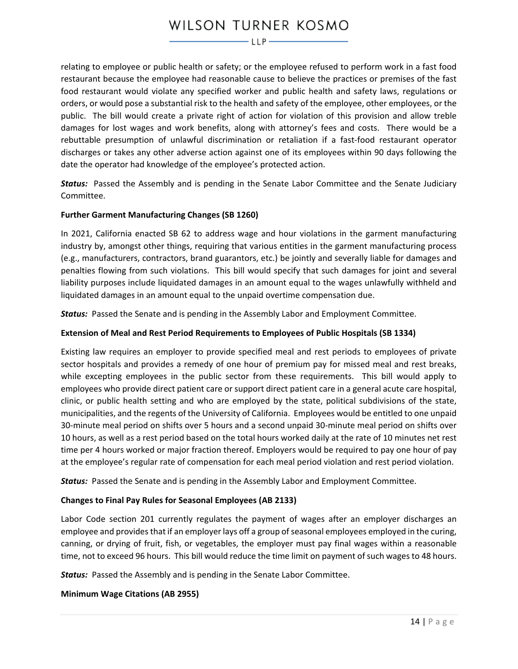relating to employee or public health or safety; or the employee refused to perform work in a fast food restaurant because the employee had reasonable cause to believe the practices or premises of the fast food restaurant would violate any specified worker and public health and safety laws, regulations or orders, or would pose a substantial risk to the health and safety of the employee, other employees, or the public. The bill would create a private right of action for violation of this provision and allow treble damages for lost wages and work benefits, along with attorney's fees and costs. There would be a rebuttable presumption of unlawful discrimination or retaliation if a fast-food restaurant operator discharges or takes any other adverse action against one of its employees within 90 days following the date the operator had knowledge of the employee's protected action.

*Status:* Passed the Assembly and is pending in the Senate Labor Committee and the Senate Judiciary Committee.

## **Further Garment Manufacturing Changes (SB 1260)**

In 2021, California enacted SB 62 to address wage and hour violations in the garment manufacturing industry by, amongst other things, requiring that various entities in the garment manufacturing process (e.g., manufacturers, contractors, brand guarantors, etc.) be jointly and severally liable for damages and penalties flowing from such violations. This bill would specify that such damages for joint and several liability purposes include liquidated damages in an amount equal to the wages unlawfully withheld and liquidated damages in an amount equal to the unpaid overtime compensation due.

*Status:* Passed the Senate and is pending in the Assembly Labor and Employment Committee.

## **Extension of Meal and Rest Period Requirements to Employees of Public Hospitals (SB 1334)**

Existing law requires an employer to provide specified meal and rest periods to employees of private sector hospitals and provides a remedy of one hour of premium pay for missed meal and rest breaks, while excepting employees in the public sector from these requirements. This bill would apply to employees who provide direct patient care or support direct patient care in a general acute care hospital, clinic, or public health setting and who are employed by the state, political subdivisions of the state, municipalities, and the regents of the University of California. Employees would be entitled to one unpaid 30-minute meal period on shifts over 5 hours and a second unpaid 30-minute meal period on shifts over 10 hours, as well as a rest period based on the total hours worked daily at the rate of 10 minutes net rest time per 4 hours worked or major fraction thereof. Employers would be required to pay one hour of pay at the employee's regular rate of compensation for each meal period violation and rest period violation.

*Status:* Passed the Senate and is pending in the Assembly Labor and Employment Committee.

#### **Changes to Final Pay Rules for Seasonal Employees (AB 2133)**

Labor Code section 201 currently regulates the payment of wages after an employer discharges an employee and provides that if an employer lays off a group of seasonal employees employed in the curing, canning, or drying of fruit, fish, or vegetables, the employer must pay final wages within a reasonable time, not to exceed 96 hours. This bill would reduce the time limit on payment of such wages to 48 hours.

*Status:* Passed the Assembly and is pending in the Senate Labor Committee.

#### **Minimum Wage Citations (AB 2955)**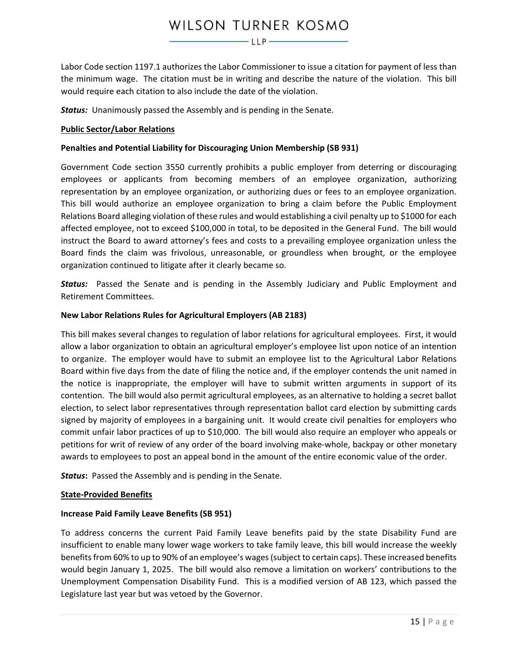$-LLP$ 

Labor Code section 1197.1 authorizes the Labor Commissioner to issue a citation for payment of less than the minimum wage. The citation must be in writing and describe the nature of the violation. This bill would require each citation to also include the date of the violation.

*Status:* Unanimously passed the Assembly and is pending in the Senate.

#### <span id="page-14-0"></span>**Public Sector/Labor Relations**

#### **Penalties and Potential Liability for Discouraging Union Membership (SB 931)**

Government Code section 3550 currently prohibits a public employer from deterring or discouraging employees or applicants from becoming members of an employee organization, authorizing representation by an employee organization, or authorizing dues or fees to an employee organization. This bill would authorize an employee organization to bring a claim before the Public Employment Relations Board alleging violation of these rules and would establishing a civil penalty up to \$1000 for each affected employee, not to exceed \$100,000 in total, to be deposited in the General Fund. The bill would instruct the Board to award attorney's fees and costs to a prevailing employee organization unless the Board finds the claim was frivolous, unreasonable, or groundless when brought, or the employee organization continued to litigate after it clearly became so.

*Status:* Passed the Senate and is pending in the Assembly Judiciary and Public Employment and Retirement Committees.

#### **New Labor Relations Rules for Agricultural Employers (AB 2183)**

This bill makes several changes to regulation of labor relations for agricultural employees. First, it would allow a labor organization to obtain an agricultural employer's employee list upon notice of an intention to organize. The employer would have to submit an employee list to the Agricultural Labor Relations Board within five days from the date of filing the notice and, if the employer contends the unit named in the notice is inappropriate, the employer will have to submit written arguments in support of its contention. The bill would also permit agricultural employees, as an alternative to holding a secret ballot election, to select labor representatives through representation ballot card election by submitting cards signed by majority of employees in a bargaining unit. It would create civil penalties for employers who commit unfair labor practices of up to \$10,000. The bill would also require an employer who appeals or petitions for writ of review of any order of the board involving make-whole, backpay or other monetary awards to employees to post an appeal bond in the amount of the entire economic value of the order.

*Status***:** Passed the Assembly and is pending in the Senate.

#### <span id="page-14-1"></span>**State-Provided Benefits**

#### **Increase Paid Family Leave Benefits (SB 951)**

To address concerns the current Paid Family Leave benefits paid by the state Disability Fund are insufficient to enable many lower wage workers to take family leave, this bill would increase the weekly benefits from 60% to up to 90% of an employee's wages (subject to certain caps). These increased benefits would begin January 1, 2025. The bill would also remove a limitation on workers' contributions to the Unemployment Compensation Disability Fund. This is a modified version of AB 123, which passed the Legislature last year but was vetoed by the Governor.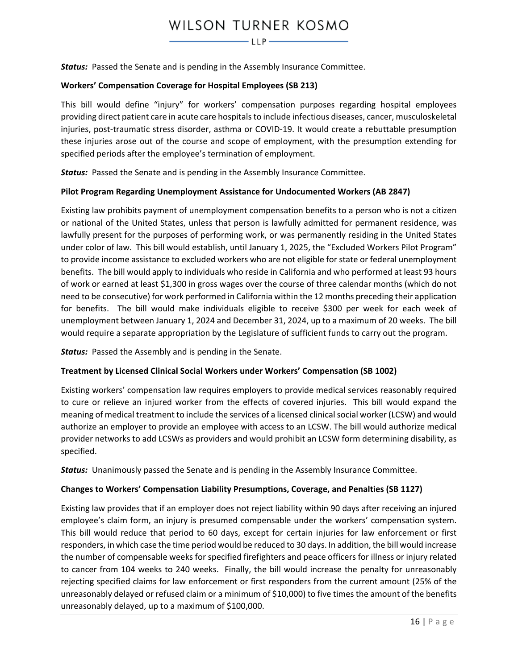# WILSON TURNER KOSMO  $-\mathsf{LLP}-$

*Status:* Passed the Senate and is pending in the Assembly Insurance Committee.

#### **Workers' Compensation Coverage for Hospital Employees (SB 213)**

This bill would define "injury" for workers' compensation purposes regarding hospital employees providing direct patient care in acute care hospitals to include infectious diseases, cancer, musculoskeletal injuries, post-traumatic stress disorder, asthma or COVID-19. It would create a rebuttable presumption these injuries arose out of the course and scope of employment, with the presumption extending for specified periods after the employee's termination of employment.

*Status:* Passed the Senate and is pending in the Assembly Insurance Committee.

#### **Pilot Program Regarding Unemployment Assistance for Undocumented Workers (AB 2847)**

Existing law prohibits payment of unemployment compensation benefits to a person who is not a citizen or national of the United States, unless that person is lawfully admitted for permanent residence, was lawfully present for the purposes of performing work, or was permanently residing in the United States under color of law. This bill would establish, until January 1, 2025, the "Excluded Workers Pilot Program" to provide income assistance to excluded workers who are not eligible for state or federal unemployment benefits. The bill would apply to individuals who reside in California and who performed at least 93 hours of work or earned at least \$1,300 in gross wages over the course of three calendar months (which do not need to be consecutive) for work performed in California within the 12 months preceding their application for benefits. The bill would make individuals eligible to receive \$300 per week for each week of unemployment between January 1, 2024 and December 31, 2024, up to a maximum of 20 weeks. The bill would require a separate appropriation by the Legislature of sufficient funds to carry out the program.

*Status:* Passed the Assembly and is pending in the Senate.

#### **Treatment by Licensed Clinical Social Workers under Workers' Compensation (SB 1002)**

Existing workers' compensation law requires employers to provide medical services reasonably required to cure or relieve an injured worker from the effects of covered injuries. This bill would expand the meaning of medical treatment to include the services of a licensed clinical social worker (LCSW) and would authorize an employer to provide an employee with access to an LCSW. The bill would authorize medical provider networks to add LCSWs as providers and would prohibit an LCSW form determining disability, as specified.

*Status:* Unanimously passed the Senate and is pending in the Assembly Insurance Committee.

#### **Changes to Workers' Compensation Liability Presumptions, Coverage, and Penalties (SB 1127)**

Existing law provides that if an employer does not reject liability within 90 days after receiving an injured employee's claim form, an injury is presumed compensable under the workers' compensation system. This bill would reduce that period to 60 days, except for certain injuries for law enforcement or first responders, in which case the time period would be reduced to 30 days. In addition, the bill would increase the number of compensable weeks for specified firefighters and peace officers for illness or injury related to cancer from 104 weeks to 240 weeks. Finally, the bill would increase the penalty for unreasonably rejecting specified claims for law enforcement or first responders from the current amount (25% of the unreasonably delayed or refused claim or a minimum of \$10,000) to five times the amount of the benefits unreasonably delayed, up to a maximum of \$100,000.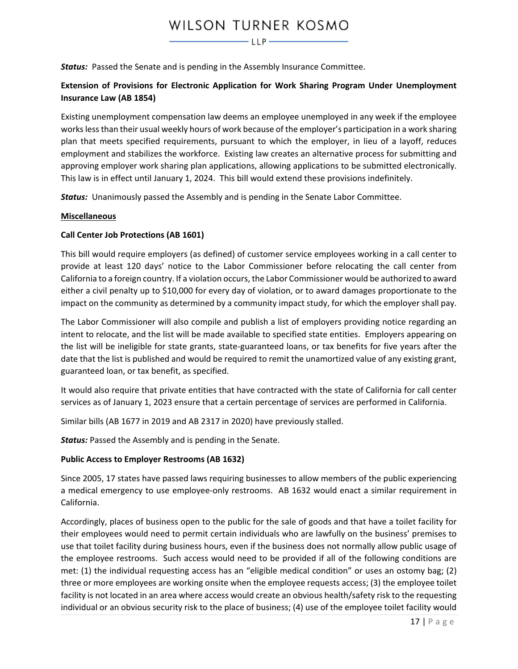*Status:* Passed the Senate and is pending in the Assembly Insurance Committee.

# **Extension of Provisions for Electronic Application for Work Sharing Program Under Unemployment Insurance Law (AB 1854)**

Existing unemployment compensation law deems an employee unemployed in any week if the employee works less than their usual weekly hours of work because of the employer's participation in a work sharing plan that meets specified requirements, pursuant to which the employer, in lieu of a layoff, reduces employment and stabilizes the workforce. Existing law creates an alternative process for submitting and approving employer work sharing plan applications, allowing applications to be submitted electronically. This law is in effect until January 1, 2024. This bill would extend these provisions indefinitely.

*Status:* Unanimously passed the Assembly and is pending in the Senate Labor Committee.

#### <span id="page-16-1"></span>**Miscellaneous**

#### **Call Center Job Protections (AB 1601)**

This bill would require employers (as defined) of customer service employees working in a call center to provide at least 120 days' notice to the Labor Commissioner before relocating the call center from California to a foreign country. If a violation occurs, the Labor Commissioner would be authorized to award either a civil penalty up to \$10,000 for every day of violation, or to award damages proportionate to the impact on the community as determined by a community impact study, for which the employer shall pay.

The Labor Commissioner will also compile and publish a list of employers providing notice regarding an intent to relocate, and the list will be made available to specified state entities. Employers appearing on the list will be ineligible for state grants, state-guaranteed loans, or tax benefits for five years after the date that the list is published and would be required to remit the unamortized value of any existing grant, guaranteed loan, or tax benefit, as specified.

It would also require that private entities that have contracted with the state of California for call center services as of January 1, 2023 ensure that a certain percentage of services are performed in California.

Similar bills (AB 1677 in 2019 and AB 2317 in 2020) have previously stalled.

*Status:* Passed the Assembly and is pending in the Senate.

#### <span id="page-16-0"></span>**Public Access to Employer Restrooms (AB 1632)**

Since 2005, 17 states have passed laws requiring businesses to allow members of the public experiencing a medical emergency to use employee-only restrooms. AB 1632 would enact a similar requirement in California.

Accordingly, places of business open to the public for the sale of goods and that have a toilet facility for their employees would need to permit certain individuals who are lawfully on the business' premises to use that toilet facility during business hours, even if the business does not normally allow public usage of the employee restrooms. Such access would need to be provided if all of the following conditions are met: (1) the individual requesting access has an "eligible medical condition" or uses an ostomy bag; (2) three or more employees are working onsite when the employee requests access; (3) the employee toilet facility is not located in an area where access would create an obvious health/safety risk to the requesting individual or an obvious security risk to the place of business; (4) use of the employee toilet facility would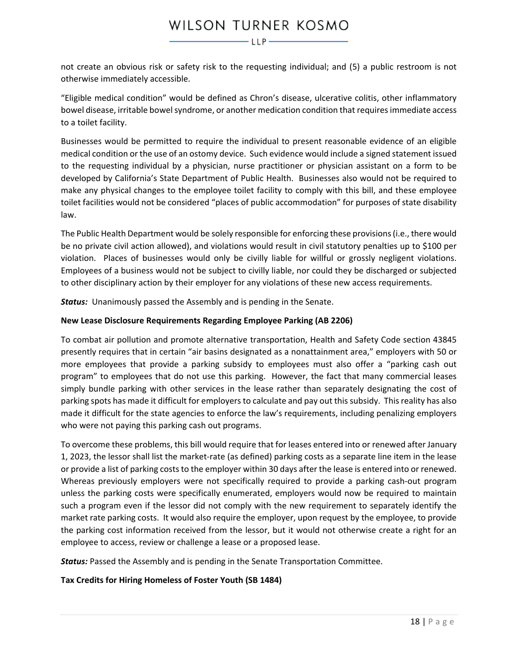not create an obvious risk or safety risk to the requesting individual; and (5) a public restroom is not otherwise immediately accessible.

"Eligible medical condition" would be defined as Chron's disease, ulcerative colitis, other inflammatory bowel disease, irritable bowel syndrome, or another medication condition that requires immediate access to a toilet facility.

Businesses would be permitted to require the individual to present reasonable evidence of an eligible medical condition or the use of an ostomy device. Such evidence would include a signed statement issued to the requesting individual by a physician, nurse practitioner or physician assistant on a form to be developed by California's State Department of Public Health. Businesses also would not be required to make any physical changes to the employee toilet facility to comply with this bill, and these employee toilet facilities would not be considered "places of public accommodation" for purposes of state disability law.

The Public Health Department would be solely responsible for enforcing these provisions (i.e., there would be no private civil action allowed), and violations would result in civil statutory penalties up to \$100 per violation. Places of businesses would only be civilly liable for willful or grossly negligent violations. Employees of a business would not be subject to civilly liable, nor could they be discharged or subjected to other disciplinary action by their employer for any violations of these new access requirements.

**Status:** Unanimously passed the Assembly and is pending in the Senate.

## **New Lease Disclosure Requirements Regarding Employee Parking (AB 2206)**

To combat air pollution and promote alternative transportation, Health and Safety Code section 43845 presently requires that in certain "air basins designated as a nonattainment area," employers with 50 or more employees that provide a parking subsidy to employees must also offer a "parking cash out program" to employees that do not use this parking. However, the fact that many commercial leases simply bundle parking with other services in the lease rather than separately designating the cost of parking spots has made it difficult for employers to calculate and pay out this subsidy. This reality has also made it difficult for the state agencies to enforce the law's requirements, including penalizing employers who were not paying this parking cash out programs.

To overcome these problems, this bill would require that for leases entered into or renewed after January 1, 2023, the lessor shall list the market-rate (as defined) parking costs as a separate line item in the lease or provide a list of parking costs to the employer within 30 days after the lease is entered into or renewed. Whereas previously employers were not specifically required to provide a parking cash-out program unless the parking costs were specifically enumerated, employers would now be required to maintain such a program even if the lessor did not comply with the new requirement to separately identify the market rate parking costs. It would also require the employer, upon request by the employee, to provide the parking cost information received from the lessor, but it would not otherwise create a right for an employee to access, review or challenge a lease or a proposed lease.

*Status:* Passed the Assembly and is pending in the Senate Transportation Committee.

**Tax Credits for Hiring Homeless of Foster Youth (SB 1484)**